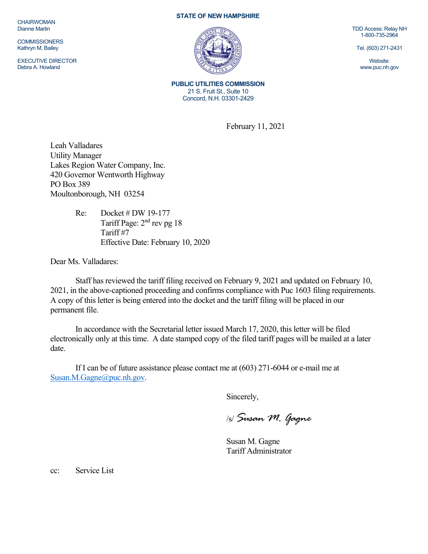**CHAIRWOMAN** Dianne Martin

**COMMISSIONERS** Kathryn M. Bailey

EXECUTIVE DIRECTOR Debra A. Howland

## **STATE OF NEW HAMPSHIRE**



**PUBLIC UTILITIES COMMISSION**  21 S. Fruit St., Suite 10 Concord, N.H. 03301-2429

February 11, 2021

Leah Valladares Utility Manager Lakes Region Water Company, Inc. 420 Governor Wentworth Highway PO Box 389 Moultonborough, NH 03254

> Re: Docket # DW 19-177 Tariff Page:  $2<sup>nd</sup>$  rev pg 18 Tariff #7 Effective Date: February 10, 2020

Dear Ms. Valladares:

Staff has reviewed the tariff filing received on February 9, 2021 and updated on February 10, 2021, in the above-captioned proceeding and confirms compliance with Puc 1603 filing requirements. A copy of this letter is being entered into the docket and the tariff filing will be placed in our permanent file.

In accordance with the Secretarial letter issued March 17, 2020, this letter will be filed electronically only at this time. A date stamped copy of the filed tariff pages will be mailed at a later date.

If I can be of future assistance please contact me at (603) 271-6044 or e-mail me at Susan.M.Gagne@puc.nh.gov.

Sincerely,

/s/ *Susan M. Gagne*

Susan M. Gagne Tariff Administrator

cc: Service List

TDD Access: Relay NH 1-800-735-2964

Tel. (603) 271-2431

Website: www.puc.nh.gov